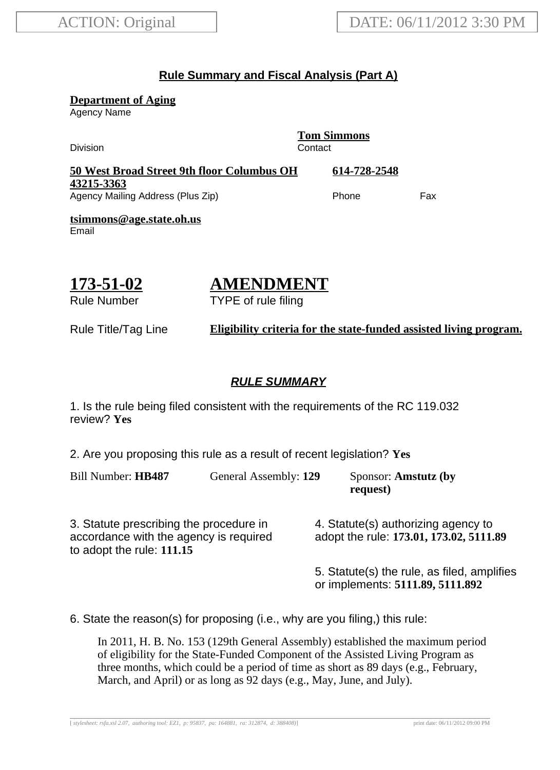## **Rule Summary and Fiscal Analysis (Part A)**

**Department of Aging**

Agency Name

**Tom Simmons** Division Contact **50 West Broad Street 9th floor Columbus OH 43215-3363 614-728-2548** Agency Mailing Address (Plus Zip) example and the Phone Fax **tsimmons@age.state.oh.us** Email

$$
173 - 51 - 02
$$

# **AMENDMENT**

TYPE of rule filing

Rule Number

Rule Title/Tag Line **Eligibility criteria for the state-funded assisted living program.**

## **RULE SUMMARY**

1. Is the rule being filed consistent with the requirements of the RC 119.032 review? **Yes**

2. Are you proposing this rule as a result of recent legislation? **Yes**

Bill Number: **HB487** General Assembly: **129** Sponsor: **Amstutz (by**

**request)**

3. Statute prescribing the procedure in accordance with the agency is required to adopt the rule: **111.15**

4. Statute(s) authorizing agency to adopt the rule: **173.01, 173.02, 5111.89**

5. Statute(s) the rule, as filed, amplifies or implements: **5111.89, 5111.892**

6. State the reason(s) for proposing (i.e., why are you filing,) this rule:

In 2011, H. B. No. 153 (129th General Assembly) established the maximum period of eligibility for the State-Funded Component of the Assisted Living Program as three months, which could be a period of time as short as 89 days (e.g., February, March, and April) or as long as 92 days (e.g., May, June, and July).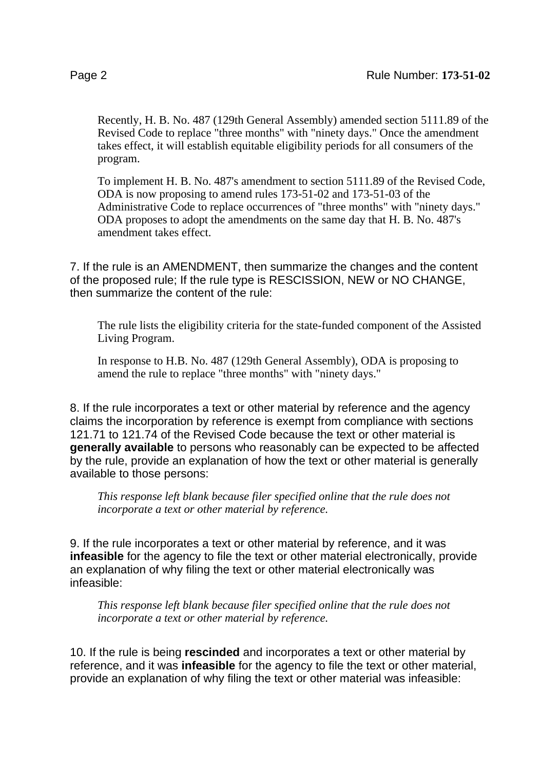Recently, H. B. No. 487 (129th General Assembly) amended section 5111.89 of the Revised Code to replace "three months" with "ninety days." Once the amendment takes effect, it will establish equitable eligibility periods for all consumers of the program.

To implement H. B. No. 487's amendment to section 5111.89 of the Revised Code, ODA is now proposing to amend rules 173-51-02 and 173-51-03 of the Administrative Code to replace occurrences of "three months" with "ninety days." ODA proposes to adopt the amendments on the same day that H. B. No. 487's amendment takes effect.

7. If the rule is an AMENDMENT, then summarize the changes and the content of the proposed rule; If the rule type is RESCISSION, NEW or NO CHANGE, then summarize the content of the rule:

The rule lists the eligibility criteria for the state-funded component of the Assisted Living Program.

In response to H.B. No. 487 (129th General Assembly), ODA is proposing to amend the rule to replace "three months" with "ninety days."

8. If the rule incorporates a text or other material by reference and the agency claims the incorporation by reference is exempt from compliance with sections 121.71 to 121.74 of the Revised Code because the text or other material is **generally available** to persons who reasonably can be expected to be affected by the rule, provide an explanation of how the text or other material is generally available to those persons:

*This response left blank because filer specified online that the rule does not incorporate a text or other material by reference.*

9. If the rule incorporates a text or other material by reference, and it was **infeasible** for the agency to file the text or other material electronically, provide an explanation of why filing the text or other material electronically was infeasible:

*This response left blank because filer specified online that the rule does not incorporate a text or other material by reference.*

10. If the rule is being **rescinded** and incorporates a text or other material by reference, and it was **infeasible** for the agency to file the text or other material, provide an explanation of why filing the text or other material was infeasible: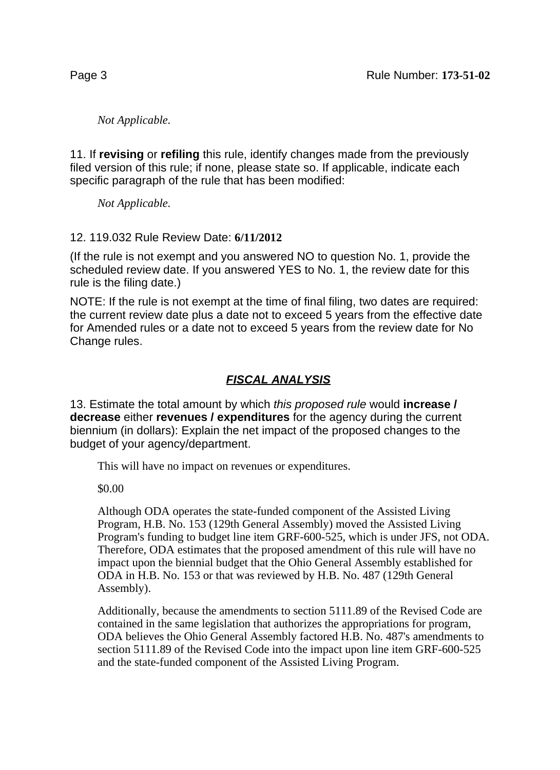*Not Applicable.*

11. If **revising** or **refiling** this rule, identify changes made from the previously filed version of this rule; if none, please state so. If applicable, indicate each specific paragraph of the rule that has been modified:

*Not Applicable.*

#### 12. 119.032 Rule Review Date: **6/11/2012**

(If the rule is not exempt and you answered NO to question No. 1, provide the scheduled review date. If you answered YES to No. 1, the review date for this rule is the filing date.)

NOTE: If the rule is not exempt at the time of final filing, two dates are required: the current review date plus a date not to exceed 5 years from the effective date for Amended rules or a date not to exceed 5 years from the review date for No Change rules.

## **FISCAL ANALYSIS**

13. Estimate the total amount by which this proposed rule would **increase / decrease** either **revenues / expenditures** for the agency during the current biennium (in dollars): Explain the net impact of the proposed changes to the budget of your agency/department.

This will have no impact on revenues or expenditures.

\$0.00

Although ODA operates the state-funded component of the Assisted Living Program, H.B. No. 153 (129th General Assembly) moved the Assisted Living Program's funding to budget line item GRF-600-525, which is under JFS, not ODA. Therefore, ODA estimates that the proposed amendment of this rule will have no impact upon the biennial budget that the Ohio General Assembly established for ODA in H.B. No. 153 or that was reviewed by H.B. No. 487 (129th General Assembly).

Additionally, because the amendments to section 5111.89 of the Revised Code are contained in the same legislation that authorizes the appropriations for program, ODA believes the Ohio General Assembly factored H.B. No. 487's amendments to section 5111.89 of the Revised Code into the impact upon line item GRF-600-525 and the state-funded component of the Assisted Living Program.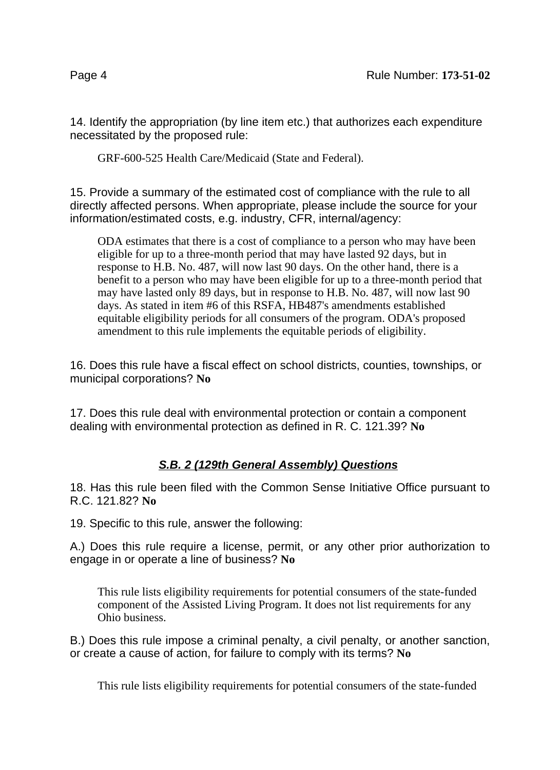14. Identify the appropriation (by line item etc.) that authorizes each expenditure necessitated by the proposed rule:

GRF-600-525 Health Care/Medicaid (State and Federal).

15. Provide a summary of the estimated cost of compliance with the rule to all directly affected persons. When appropriate, please include the source for your information/estimated costs, e.g. industry, CFR, internal/agency:

ODA estimates that there is a cost of compliance to a person who may have been eligible for up to a three-month period that may have lasted 92 days, but in response to H.B. No. 487, will now last 90 days. On the other hand, there is a benefit to a person who may have been eligible for up to a three-month period that may have lasted only 89 days, but in response to H.B. No. 487, will now last 90 days. As stated in item #6 of this RSFA, HB487's amendments established equitable eligibility periods for all consumers of the program. ODA's proposed amendment to this rule implements the equitable periods of eligibility.

16. Does this rule have a fiscal effect on school districts, counties, townships, or municipal corporations? **No**

17. Does this rule deal with environmental protection or contain a component dealing with environmental protection as defined in R. C. 121.39? **No**

# **S.B. 2 (129th General Assembly) Questions**

18. Has this rule been filed with the Common Sense Initiative Office pursuant to R.C. 121.82? **No**

19. Specific to this rule, answer the following:

A.) Does this rule require a license, permit, or any other prior authorization to engage in or operate a line of business? **No**

This rule lists eligibility requirements for potential consumers of the state-funded component of the Assisted Living Program. It does not list requirements for any Ohio business.

B.) Does this rule impose a criminal penalty, a civil penalty, or another sanction, or create a cause of action, for failure to comply with its terms? **No**

This rule lists eligibility requirements for potential consumers of the state-funded